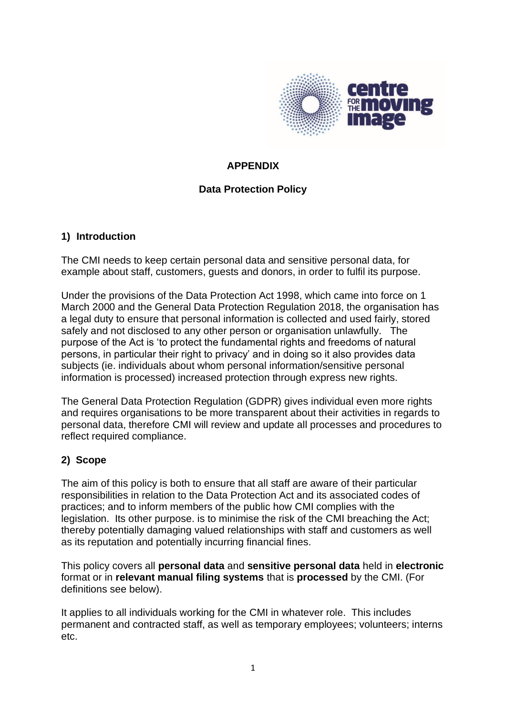

# **APPENDIX**

# **Data Protection Policy**

#### **1) Introduction**

The CMI needs to keep certain personal data and sensitive personal data, for example about staff, customers, guests and donors, in order to fulfil its purpose.

Under the provisions of the Data Protection Act 1998, which came into force on 1 March 2000 and the General Data Protection Regulation 2018, the organisation has a legal duty to ensure that personal information is collected and used fairly, stored safely and not disclosed to any other person or organisation unlawfully. The purpose of the Act is 'to protect the fundamental rights and freedoms of natural persons, in particular their right to privacy' and in doing so it also provides data subjects (ie. individuals about whom personal information/sensitive personal information is processed) increased protection through express new rights.

The General Data Protection Regulation (GDPR) gives individual even more rights and requires organisations to be more transparent about their activities in regards to personal data, therefore CMI will review and update all processes and procedures to reflect required compliance.

## **2) Scope**

The aim of this policy is both to ensure that all staff are aware of their particular responsibilities in relation to the Data Protection Act and its associated codes of practices; and to inform members of the public how CMI complies with the legislation. Its other purpose. is to minimise the risk of the CMI breaching the Act; thereby potentially damaging valued relationships with staff and customers as well as its reputation and potentially incurring financial fines.

This policy covers all **personal data** and **sensitive personal data** held in **electronic**  format or in **relevant manual filing systems** that is **processed** by the CMI. (For definitions see below).

It applies to all individuals working for the CMI in whatever role. This includes permanent and contracted staff, as well as temporary employees; volunteers; interns etc.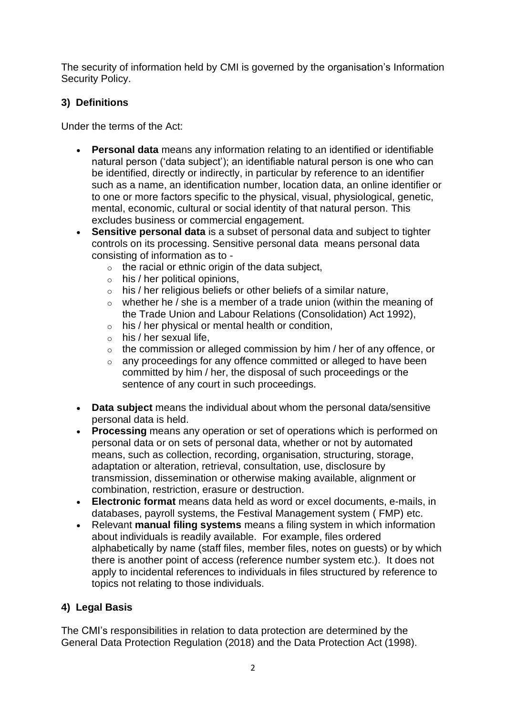The security of information held by CMI is governed by the organisation's Information Security Policy.

# **3) Definitions**

Under the terms of the Act:

- **Personal data** means any information relating to an identified or identifiable natural person ('data subject'); an identifiable natural person is one who can be identified, directly or indirectly, in particular by reference to an identifier such as a name, an identification number, location data, an online identifier or to one or more factors specific to the physical, visual, physiological, genetic, mental, economic, cultural or social identity of that natural person. This excludes business or commercial engagement.
- **Sensitive personal data** is a subset of personal data and subject to tighter controls on its processing. Sensitive personal data means personal data consisting of information as to -
	- $\circ$  the racial or ethnic origin of the data subject,
	- $\circ$  his / her political opinions,
	- $\circ$  his / her religious beliefs or other beliefs of a similar nature,
	- $\circ$  whether he / she is a member of a trade union (within the meaning of the Trade Union and Labour Relations (Consolidation) Act 1992),
	- o his / her physical or mental health or condition,
	- $\circ$  his / her sexual life,
	- o the commission or alleged commission by him / her of any offence, or
	- $\circ$  any proceedings for any offence committed or alleged to have been committed by him / her, the disposal of such proceedings or the sentence of any court in such proceedings.
- **Data subject** means the individual about whom the personal data/sensitive personal data is held.
- **Processing** means any operation or set of operations which is performed on personal data or on sets of personal data, whether or not by automated means, such as collection, recording, organisation, structuring, storage, adaptation or alteration, retrieval, consultation, use, disclosure by transmission, dissemination or otherwise making available, alignment or combination, restriction, erasure or destruction.
- **Electronic format** means data held as word or excel documents, e-mails, in databases, payroll systems, the Festival Management system ( FMP) etc.
- Relevant **manual filing systems** means a filing system in which information about individuals is readily available. For example, files ordered alphabetically by name (staff files, member files, notes on guests) or by which there is another point of access (reference number system etc.). It does not apply to incidental references to individuals in files structured by reference to topics not relating to those individuals.

# **4) Legal Basis**

The CMI's responsibilities in relation to data protection are determined by the General Data Protection Regulation (2018) and the Data Protection Act (1998).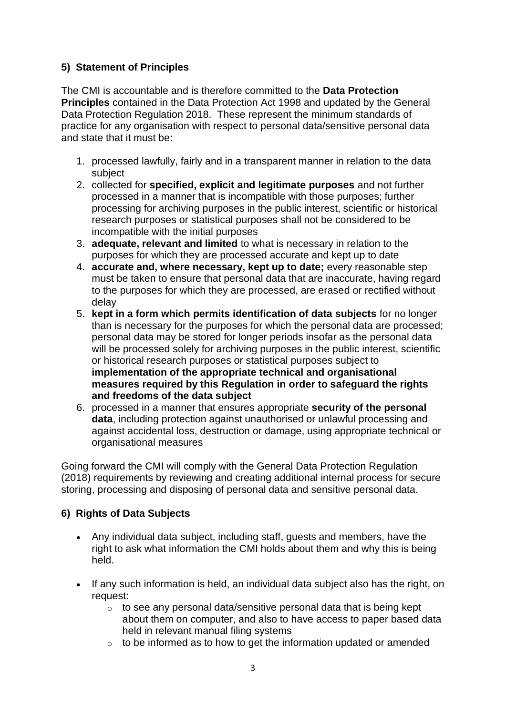# **5) Statement of Principles**

The CMI is accountable and is therefore committed to the **Data Protection Principles** contained in the Data Protection Act 1998 and updated by the General Data Protection Regulation 2018. These represent the minimum standards of practice for any organisation with respect to personal data/sensitive personal data and state that it must be:

- 1. processed lawfully, fairly and in a transparent manner in relation to the data subject
- 2. collected for **specified, explicit and legitimate purposes** and not further processed in a manner that is incompatible with those purposes; further processing for archiving purposes in the public interest, scientific or historical research purposes or statistical purposes shall not be considered to be incompatible with the initial purposes
- 3. **adequate, relevant and limited** to what is necessary in relation to the purposes for which they are processed accurate and kept up to date
- 4. **accurate and, where necessary, kept up to date;** every reasonable step must be taken to ensure that personal data that are inaccurate, having regard to the purposes for which they are processed, are erased or rectified without delay
- 5. **kept in a form which permits identification of data subjects** for no longer than is necessary for the purposes for which the personal data are processed; personal data may be stored for longer periods insofar as the personal data will be processed solely for archiving purposes in the public interest, scientific or historical research purposes or statistical purposes subject to **implementation of the appropriate technical and organisational measures required by this Regulation in order to safeguard the rights and freedoms of the data subject**
- 6. processed in a manner that ensures appropriate **security of the personal data**, including protection against unauthorised or unlawful processing and against accidental loss, destruction or damage, using appropriate technical or organisational measures

Going forward the CMI will comply with the General Data Protection Regulation (2018) requirements by reviewing and creating additional internal process for secure storing, processing and disposing of personal data and sensitive personal data.

## **6) Rights of Data Subjects**

- Any individual data subject, including staff, guests and members, have the right to ask what information the CMI holds about them and why this is being held.
- If any such information is held, an individual data subject also has the right, on request:
	- $\circ$  to see any personal data/sensitive personal data that is being kept about them on computer, and also to have access to paper based data held in relevant manual filing systems
	- $\circ$  to be informed as to how to get the information updated or amended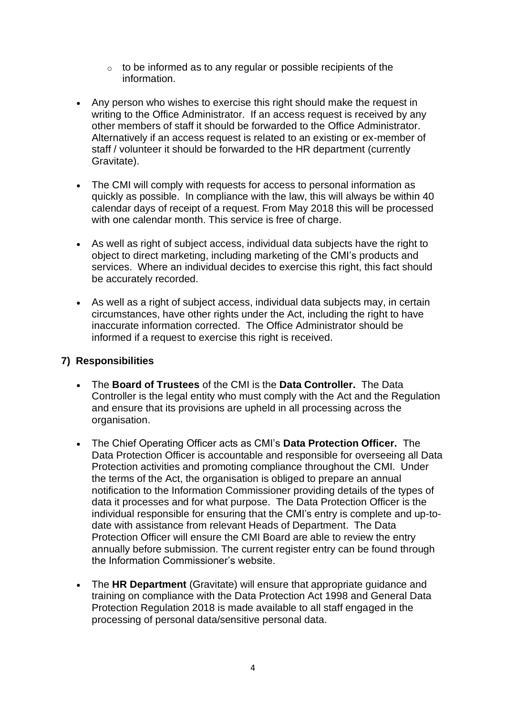- $\circ$  to be informed as to any regular or possible recipients of the information.
- Any person who wishes to exercise this right should make the request in writing to the Office Administrator. If an access request is received by any other members of staff it should be forwarded to the Office Administrator. Alternatively if an access request is related to an existing or ex-member of staff / volunteer it should be forwarded to the HR department (currently Gravitate).
- The CMI will comply with requests for access to personal information as quickly as possible. In compliance with the law, this will always be within 40 calendar days of receipt of a request. From May 2018 this will be processed with one calendar month. This service is free of charge.
- As well as right of subject access, individual data subjects have the right to object to direct marketing, including marketing of the CMI's products and services. Where an individual decides to exercise this right, this fact should be accurately recorded.
- As well as a right of subject access, individual data subjects may, in certain circumstances, have other rights under the Act, including the right to have inaccurate information corrected. The Office Administrator should be informed if a request to exercise this right is received.

## **7) Responsibilities**

- The **Board of Trustees** of the CMI is the **Data Controller.** The Data Controller is the legal entity who must comply with the Act and the Regulation and ensure that its provisions are upheld in all processing across the organisation.
- The Chief Operating Officer acts as CMI's **Data Protection Officer.** The Data Protection Officer is accountable and responsible for overseeing all Data Protection activities and promoting compliance throughout the CMI. Under the terms of the Act, the organisation is obliged to prepare an annual notification to the Information Commissioner providing details of the types of data it processes and for what purpose. The Data Protection Officer is the individual responsible for ensuring that the CMI's entry is complete and up-todate with assistance from relevant Heads of Department. The Data Protection Officer will ensure the CMI Board are able to review the entry annually before submission. The current register entry can be found through the Information Commissioner's website.
- The **HR Department** (Gravitate) will ensure that appropriate guidance and training on compliance with the Data Protection Act 1998 and General Data Protection Regulation 2018 is made available to all staff engaged in the processing of personal data/sensitive personal data.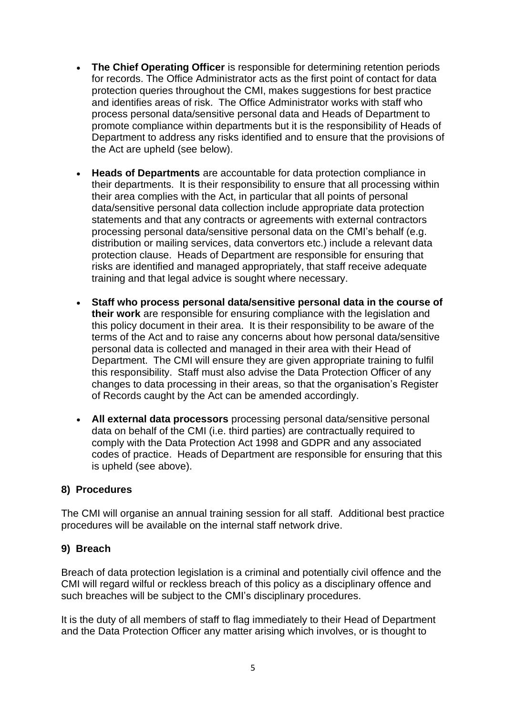- **The Chief Operating Officer** is responsible for determining retention periods for records. The Office Administrator acts as the first point of contact for data protection queries throughout the CMI, makes suggestions for best practice and identifies areas of risk. The Office Administrator works with staff who process personal data/sensitive personal data and Heads of Department to promote compliance within departments but it is the responsibility of Heads of Department to address any risks identified and to ensure that the provisions of the Act are upheld (see below).
- **Heads of Departments** are accountable for data protection compliance in their departments. It is their responsibility to ensure that all processing within their area complies with the Act, in particular that all points of personal data/sensitive personal data collection include appropriate data protection statements and that any contracts or agreements with external contractors processing personal data/sensitive personal data on the CMI's behalf (e.g. distribution or mailing services, data convertors etc.) include a relevant data protection clause. Heads of Department are responsible for ensuring that risks are identified and managed appropriately, that staff receive adequate training and that legal advice is sought where necessary.
- **Staff who process personal data/sensitive personal data in the course of their work** are responsible for ensuring compliance with the legislation and this policy document in their area. It is their responsibility to be aware of the terms of the Act and to raise any concerns about how personal data/sensitive personal data is collected and managed in their area with their Head of Department. The CMI will ensure they are given appropriate training to fulfil this responsibility. Staff must also advise the Data Protection Officer of any changes to data processing in their areas, so that the organisation's Register of Records caught by the Act can be amended accordingly.
- **All external data processors** processing personal data/sensitive personal data on behalf of the CMI (i.e. third parties) are contractually required to comply with the Data Protection Act 1998 and GDPR and any associated codes of practice. Heads of Department are responsible for ensuring that this is upheld (see above).

#### **8) Procedures**

The CMI will organise an annual training session for all staff. Additional best practice procedures will be available on the internal staff network drive.

#### **9) Breach**

Breach of data protection legislation is a criminal and potentially civil offence and the CMI will regard wilful or reckless breach of this policy as a disciplinary offence and such breaches will be subject to the CMI's disciplinary procedures.

It is the duty of all members of staff to flag immediately to their Head of Department and the Data Protection Officer any matter arising which involves, or is thought to